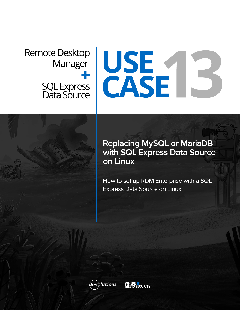# **Remote Desktop**

## Nanager<br>SQL Express<br>Data Source E

### **Replacing MySQL or MariaDB** with SQL Express Data Source on Linux

How to set up RDM Enterprise with a SQL **Express Data Source on Linux** 

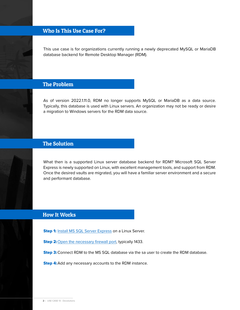#### Who Is This Use Case For?

This use case is for organizations currently running a newly deprecated MySQL or MariaDB database backend for Remote Desktop Manager (RDM).

#### The Problem

As of version 2022.1.11.0, RDM no longer supports MySQL or MariaDB as a data source. Typically, this database is used with Linux servers. An organization may not be ready or desire a migration to Windows servers for the RDM data source.





#### The Solution

What then is a supported Linux server database backend for RDM? Microsoft SQL Server Express is newly supported on Linux, with excellent management tools, and support from RDM. Once the desired vaults are migrated, you will have a familiar server environment and a secure and performant database.

#### How It Works

**Step 1:** [Install MS SQL Server Express](https://docs.microsoft.com/en-us/sql/linux/quickstart-install-connect-ubuntu?view=sql-server-ver15) on a Linux Server.

Step 2: [Open the necessary firewall port,](https://cdndevolutions.blob.core.windows.net/documents/how-to/how-to-set-up-rdm-enterprise-with-a-sql-express-data-source-on-linux.pdf) typically 1433.

Step 3: Connect RDM to the MS SQL database via the sa user to create the RDM database.

**Step 4:** Add any necessary accounts to the RDM instance.